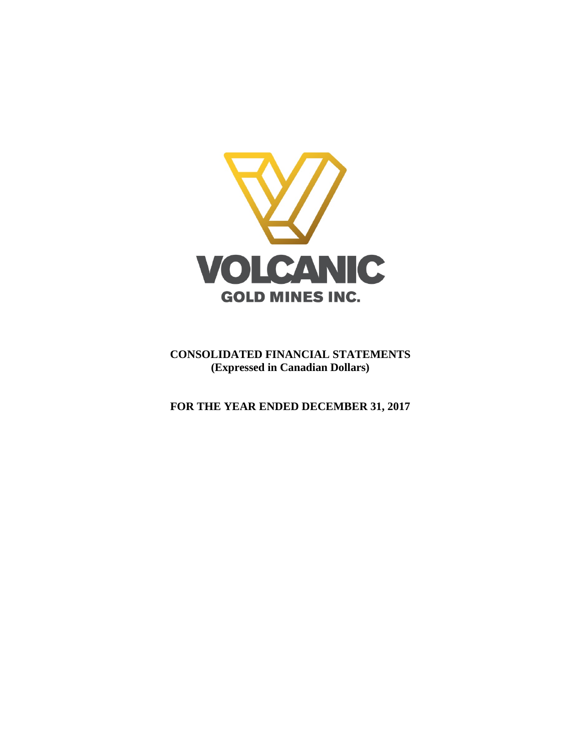

**CONSOLIDATED FINANCIAL STATEMENTS (Expressed in Canadian Dollars)**

**FOR THE YEAR ENDED DECEMBER 31, 2017**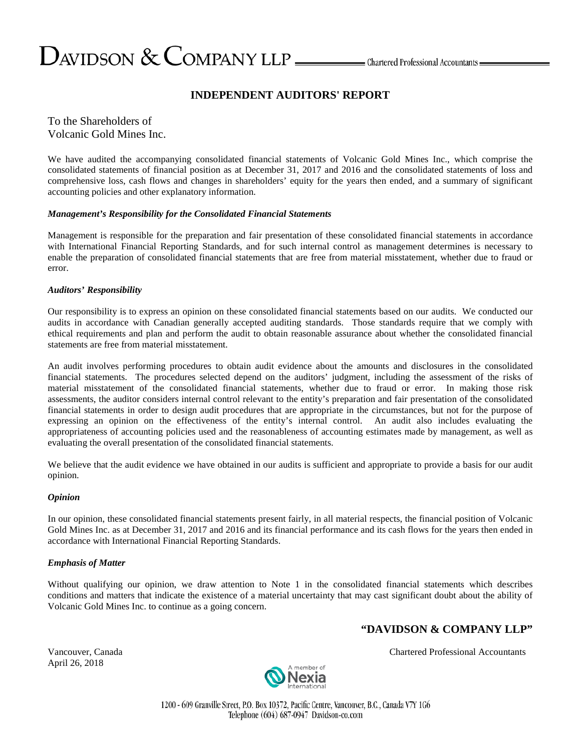# **INDEPENDENT AUDITORS' REPORT**

To the Shareholders of Volcanic Gold Mines Inc.

We have audited the accompanying consolidated financial statements of Volcanic Gold Mines Inc., which comprise the consolidated statements of financial position as at December 31, 2017 and 2016 and the consolidated statements of loss and comprehensive loss, cash flows and changes in shareholders' equity for the years then ended, and a summary of significant accounting policies and other explanatory information.

### *Management's Responsibility for the Consolidated Financial Statements*

Management is responsible for the preparation and fair presentation of these consolidated financial statements in accordance with International Financial Reporting Standards, and for such internal control as management determines is necessary to enable the preparation of consolidated financial statements that are free from material misstatement, whether due to fraud or error.

### *Auditors' Responsibility*

Our responsibility is to express an opinion on these consolidated financial statements based on our audits. We conducted our audits in accordance with Canadian generally accepted auditing standards. Those standards require that we comply with ethical requirements and plan and perform the audit to obtain reasonable assurance about whether the consolidated financial statements are free from material misstatement.

An audit involves performing procedures to obtain audit evidence about the amounts and disclosures in the consolidated financial statements. The procedures selected depend on the auditors' judgment, including the assessment of the risks of material misstatement of the consolidated financial statements, whether due to fraud or error. In making those risk assessments, the auditor considers internal control relevant to the entity's preparation and fair presentation of the consolidated financial statements in order to design audit procedures that are appropriate in the circumstances, but not for the purpose of expressing an opinion on the effectiveness of the entity's internal control. An audit also includes evaluating the appropriateness of accounting policies used and the reasonableness of accounting estimates made by management, as well as evaluating the overall presentation of the consolidated financial statements.

We believe that the audit evidence we have obtained in our audits is sufficient and appropriate to provide a basis for our audit opinion.

#### *Opinion*

In our opinion, these consolidated financial statements present fairly, in all material respects, the financial position of Volcanic Gold Mines Inc. as at December 31, 2017 and 2016 and its financial performance and its cash flows for the years then ended in accordance with International Financial Reporting Standards.

### *Emphasis of Matter*

Without qualifying our opinion, we draw attention to Note 1 in the consolidated financial statements which describes conditions and matters that indicate the existence of a material uncertainty that may cast significant doubt about the ability of Volcanic Gold Mines Inc. to continue as a going concern.

# **"DAVIDSON & COMPANY LLP"**

April 26, 2018



Vancouver, Canada Chartered Professional Accountants

1200 - 609 Granville Street, P.O. Box 10372, Pacific Centre, Vancouver, B.C., Canada V7Y 1G6 Telephone (604) 687-0947 Davidson-co.com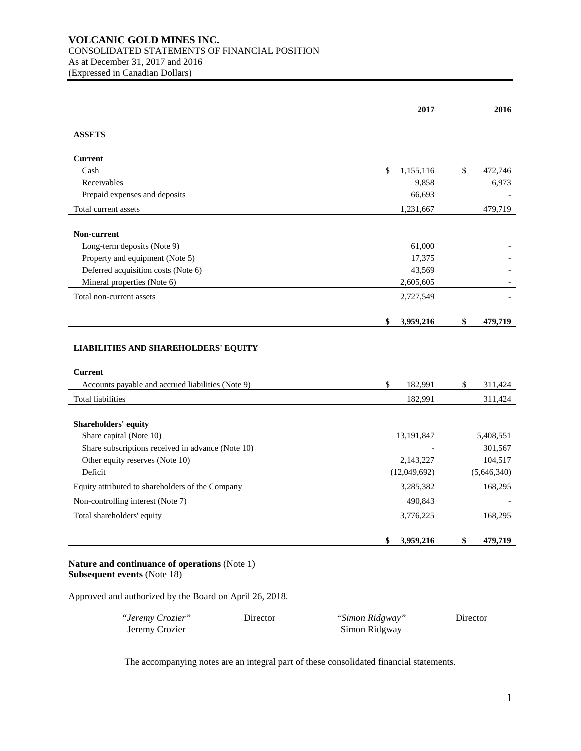### **VOLCANIC GOLD MINES INC.** CONSOLIDATED STATEMENTS OF FINANCIAL POSITION As at December 31, 2017 and 2016 (Expressed in Canadian Dollars)

|                                                   | 2017            | 2016               |
|---------------------------------------------------|-----------------|--------------------|
| <b>ASSETS</b>                                     |                 |                    |
| <b>Current</b>                                    |                 |                    |
| Cash                                              | \$<br>1,155,116 | \$<br>472,746      |
| Receivables                                       | 9,858           | 6,973              |
| Prepaid expenses and deposits                     | 66,693          |                    |
| Total current assets                              | 1,231,667       | 479,719            |
|                                                   |                 |                    |
| Non-current                                       |                 |                    |
| Long-term deposits (Note 9)                       | 61,000          |                    |
| Property and equipment (Note 5)                   | 17,375          |                    |
| Deferred acquisition costs (Note 6)               | 43,569          |                    |
| Mineral properties (Note 6)                       | 2,605,605       |                    |
| Total non-current assets                          | 2,727,549       |                    |
|                                                   | \$<br>3,959,216 | \$<br>479,719      |
| <b>LIABILITIES AND SHAREHOLDERS' EQUITY</b>       |                 |                    |
| <b>Current</b>                                    |                 |                    |
| Accounts payable and accrued liabilities (Note 9) | \$<br>182,991   | \$<br>311,424      |
| <b>Total liabilities</b>                          | 182,991         | 311,424            |
|                                                   |                 |                    |
| Shareholders' equity                              |                 |                    |
| Share capital (Note 10)                           | 13,191,847      | 5,408,551          |
| Share subscriptions received in advance (Note 10) | 2,143,227       | 301,567<br>104,517 |
| Other equity reserves (Note 10)<br>Deficit        | (12,049,692)    | (5,646,340)        |
|                                                   |                 |                    |
| Equity attributed to shareholders of the Company  | 3,285,382       | 168,295            |
| Non-controlling interest (Note 7)                 | 490,843         |                    |
| Total shareholders' equity                        | 3,776,225       | 168,295            |
|                                                   | \$<br>3,959,216 | \$<br>479,719      |

## **Nature and continuance of operations** (Note 1) **Subsequent events (Note 18)**

Approved and authorized by the Board on April 26, 2018.

| <i>"Jeremy Crozier"</i> | Director | "Simon Ridgway" | Director |
|-------------------------|----------|-----------------|----------|
| Jeremy Crozier          |          | Simon Ridgway   |          |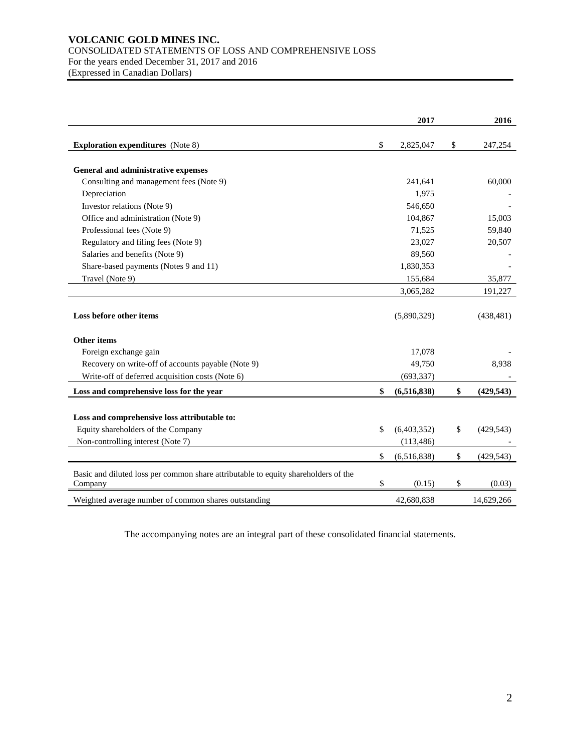### **VOLCANIC GOLD MINES INC.** CONSOLIDATED STATEMENTS OF LOSS AND COMPREHENSIVE LOSS For the years ended December 31, 2017 and 2016 (Expressed in Canadian Dollars)

|                                                                                                                         | 2017                            | 2016             |
|-------------------------------------------------------------------------------------------------------------------------|---------------------------------|------------------|
| <b>Exploration expenditures</b> (Note 8)                                                                                | \$<br>2,825,047                 | \$<br>247,254    |
| General and administrative expenses                                                                                     |                                 |                  |
| Consulting and management fees (Note 9)                                                                                 | 241,641                         | 60,000           |
| Depreciation                                                                                                            | 1,975                           |                  |
| Investor relations (Note 9)                                                                                             | 546,650                         |                  |
| Office and administration (Note 9)                                                                                      | 104,867                         | 15,003           |
| Professional fees (Note 9)                                                                                              | 71,525                          | 59,840           |
| Regulatory and filing fees (Note 9)                                                                                     | 23,027                          | 20,507           |
| Salaries and benefits (Note 9)                                                                                          | 89,560                          |                  |
| Share-based payments (Notes 9 and 11)                                                                                   | 1,830,353                       |                  |
| Travel (Note 9)                                                                                                         | 155,684                         | 35,877           |
|                                                                                                                         | 3,065,282                       | 191,227          |
| Loss before other items                                                                                                 | (5,890,329)                     | (438, 481)       |
| <b>Other items</b>                                                                                                      |                                 |                  |
| Foreign exchange gain                                                                                                   | 17.078                          |                  |
| Recovery on write-off of accounts payable (Note 9)                                                                      | 49,750                          | 8,938            |
| Write-off of deferred acquisition costs (Note 6)                                                                        | (693, 337)                      |                  |
| Loss and comprehensive loss for the year                                                                                | \$<br>(6,516,838)               | \$<br>(429, 543) |
| Loss and comprehensive loss attributable to:<br>Equity shareholders of the Company<br>Non-controlling interest (Note 7) | \$<br>(6,403,352)<br>(113, 486) | \$<br>(429, 543) |
|                                                                                                                         | \$<br>(6,516,838)               | \$<br>(429, 543) |
| Basic and diluted loss per common share attributable to equity shareholders of the<br>Company                           | \$<br>(0.15)                    | \$<br>(0.03)     |
| Weighted average number of common shares outstanding                                                                    | 42,680,838                      | 14,629,266       |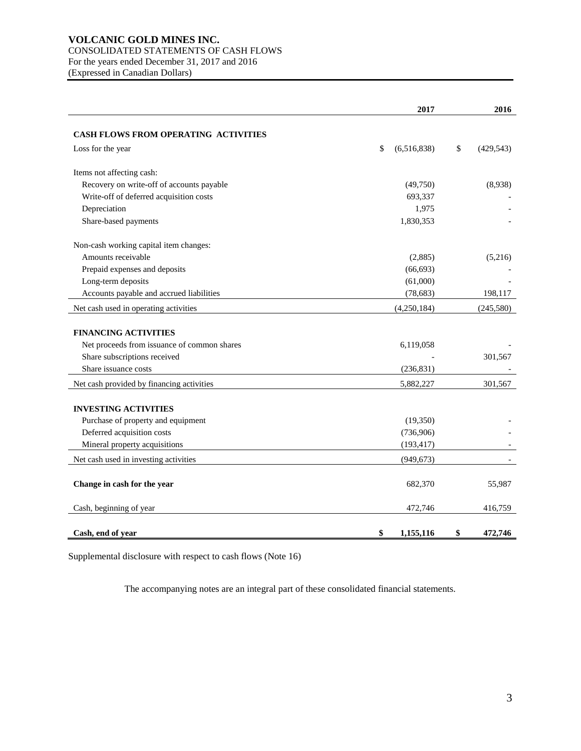## **VOLCANIC GOLD MINES INC.** CONSOLIDATED STATEMENTS OF CASH FLOWS For the years ended December 31, 2017 and 2016 (Expressed in Canadian Dollars)

|                                             | 2017              | 2016             |
|---------------------------------------------|-------------------|------------------|
| CASH FLOWS FROM OPERATING ACTIVITIES        |                   |                  |
| Loss for the year                           | \$<br>(6,516,838) | \$<br>(429, 543) |
| Items not affecting cash:                   |                   |                  |
| Recovery on write-off of accounts payable   | (49,750)          | (8,938)          |
| Write-off of deferred acquisition costs     | 693,337           |                  |
| Depreciation                                | 1,975             |                  |
| Share-based payments                        | 1,830,353         |                  |
| Non-cash working capital item changes:      |                   |                  |
| Amounts receivable                          | (2,885)           | (5,216)          |
| Prepaid expenses and deposits               | (66, 693)         |                  |
| Long-term deposits                          | (61,000)          |                  |
| Accounts payable and accrued liabilities    | (78, 683)         | 198,117          |
| Net cash used in operating activities       | (4,250,184)       | (245,580)        |
| <b>FINANCING ACTIVITIES</b>                 |                   |                  |
| Net proceeds from issuance of common shares | 6,119,058         |                  |
| Share subscriptions received                |                   | 301,567          |
| Share issuance costs                        | (236, 831)        |                  |
| Net cash provided by financing activities   | 5,882,227         | 301,567          |
| <b>INVESTING ACTIVITIES</b>                 |                   |                  |
| Purchase of property and equipment          | (19,350)          |                  |
| Deferred acquisition costs                  | (736,906)         |                  |
| Mineral property acquisitions               | (193, 417)        |                  |
| Net cash used in investing activities       | (949, 673)        |                  |
|                                             |                   |                  |
| Change in cash for the year                 | 682,370           | 55,987           |
| Cash, beginning of year                     | 472,746           | 416,759          |
|                                             |                   |                  |
| Cash, end of year                           | \$<br>1,155,116   | \$<br>472,746    |

Supplemental disclosure with respect to cash flows (Note 16)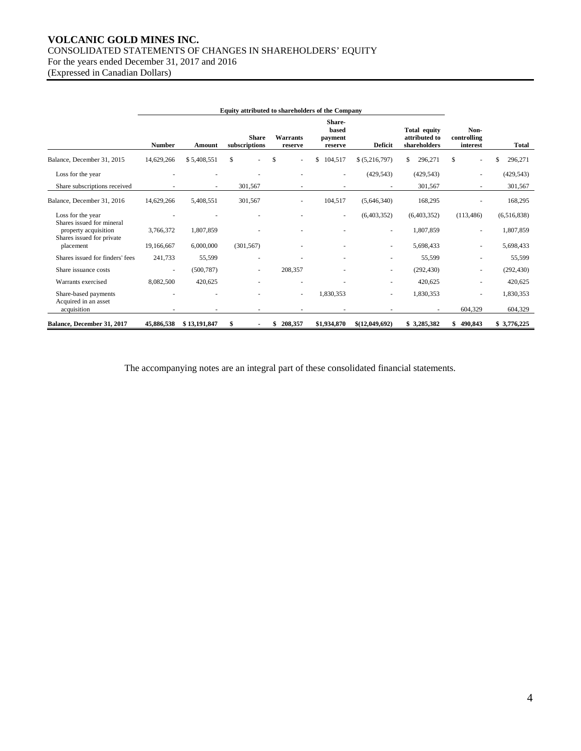# **VOLCANIC GOLD MINES INC.**  CONSOLIDATED STATEMENTS OF CHANGES IN SHAREHOLDERS' EQUITY For the years ended December 31, 2017 and 2016

(Expressed in Canadian Dollars)

| <b>Equity attributed to shareholders of the Company</b>                        |               |              |                               |                            |                                       |                |                                               |                                 |               |
|--------------------------------------------------------------------------------|---------------|--------------|-------------------------------|----------------------------|---------------------------------------|----------------|-----------------------------------------------|---------------------------------|---------------|
|                                                                                | <b>Number</b> | Amount       | <b>Share</b><br>subscriptions | <b>Warrants</b><br>reserve | Share-<br>based<br>payment<br>reserve | <b>Deficit</b> | Total equity<br>attributed to<br>shareholders | Non-<br>controlling<br>interest | <b>Total</b>  |
| Balance, December 31, 2015                                                     | 14,629,266    | \$5,408,551  | \$                            | \$                         | \$<br>104,517                         | \$ (5,216,797) | \$<br>296,271                                 | \$<br>٠                         | \$<br>296,271 |
| Loss for the year                                                              |               |              |                               |                            |                                       | (429, 543)     | (429, 543)                                    | ٠                               | (429, 543)    |
| Share subscriptions received                                                   |               |              | 301,567                       |                            |                                       |                | 301,567                                       | ٠                               | 301,567       |
| Balance, December 31, 2016                                                     | 14,629,266    | 5,408,551    | 301,567                       |                            | 104,517                               | (5,646,340)    | 168,295                                       | ٠                               | 168,295       |
| Loss for the year                                                              |               |              |                               |                            | ٠                                     | (6,403,352)    | (6,403,352)                                   | (113, 486)                      | (6,516,838)   |
| Shares issued for mineral<br>property acquisition<br>Shares issued for private | 3,766,372     | 1,807,859    |                               |                            |                                       |                | 1,807,859                                     | ÷,                              | 1,807,859     |
| placement                                                                      | 19,166,667    | 6,000,000    | (301, 567)                    |                            |                                       | ٠              | 5,698,433                                     | ٠                               | 5,698,433     |
| Shares issued for finders' fees                                                | 241,733       | 55,599       |                               |                            |                                       |                | 55,599                                        |                                 | 55,599        |
| Share issuance costs                                                           | ٠             | (500, 787)   | ٠                             | 208,357                    |                                       |                | (292, 430)                                    |                                 | (292, 430)    |
| Warrants exercised                                                             | 8,082,500     | 420,625      |                               |                            |                                       |                | 420,625                                       |                                 | 420,625       |
| Share-based payments<br>Acquired in an asset                                   |               |              |                               | ٠                          | 1,830,353                             |                | 1,830,353                                     |                                 | 1,830,353     |
| acquisition                                                                    |               |              |                               |                            |                                       |                |                                               | 604,329                         | 604,329       |
| Balance, December 31, 2017                                                     | 45,886,538    | \$13,191,847 | \$                            | 208,357                    | \$1,934,870                           | \$(12,049,692) | \$3,285,382                                   | 490.843<br>\$                   | \$3,776,225   |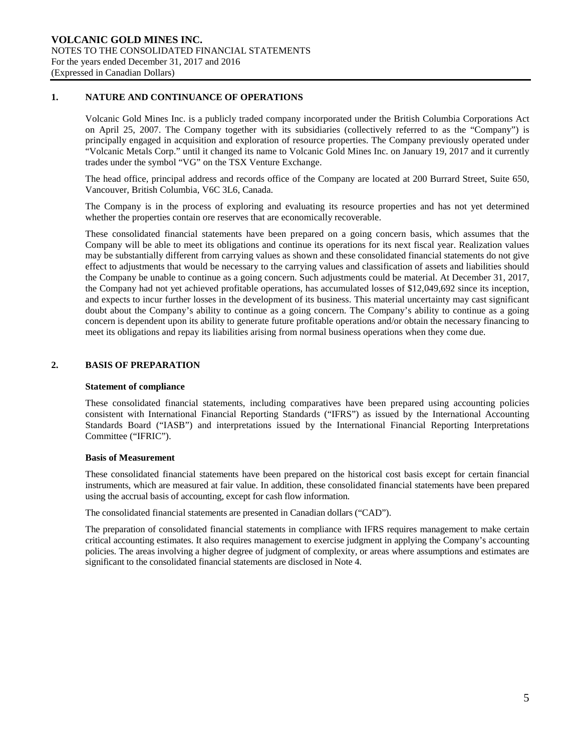### **1. NATURE AND CONTINUANCE OF OPERATIONS**

Volcanic Gold Mines Inc. is a publicly traded company incorporated under the British Columbia Corporations Act on April 25, 2007. The Company together with its subsidiaries (collectively referred to as the "Company") is principally engaged in acquisition and exploration of resource properties. The Company previously operated under "Volcanic Metals Corp." until it changed its name to Volcanic Gold Mines Inc. on January 19, 2017 and it currently trades under the symbol "VG" on the TSX Venture Exchange.

The head office, principal address and records office of the Company are located at 200 Burrard Street, Suite 650, Vancouver, British Columbia, V6C 3L6, Canada.

The Company is in the process of exploring and evaluating its resource properties and has not yet determined whether the properties contain ore reserves that are economically recoverable.

These consolidated financial statements have been prepared on a going concern basis, which assumes that the Company will be able to meet its obligations and continue its operations for its next fiscal year. Realization values may be substantially different from carrying values as shown and these consolidated financial statements do not give effect to adjustments that would be necessary to the carrying values and classification of assets and liabilities should the Company be unable to continue as a going concern. Such adjustments could be material. At December 31, 2017, the Company had not yet achieved profitable operations, has accumulated losses of \$12,049,692 since its inception, and expects to incur further losses in the development of its business. This material uncertainty may cast significant doubt about the Company's ability to continue as a going concern. The Company's ability to continue as a going concern is dependent upon its ability to generate future profitable operations and/or obtain the necessary financing to meet its obligations and repay its liabilities arising from normal business operations when they come due.

### **2. BASIS OF PREPARATION**

#### **Statement of compliance**

These consolidated financial statements, including comparatives have been prepared using accounting policies consistent with International Financial Reporting Standards ("IFRS") as issued by the International Accounting Standards Board ("IASB") and interpretations issued by the International Financial Reporting Interpretations Committee ("IFRIC").

#### **Basis of Measurement**

These consolidated financial statements have been prepared on the historical cost basis except for certain financial instruments, which are measured at fair value. In addition, these consolidated financial statements have been prepared using the accrual basis of accounting, except for cash flow information.

The consolidated financial statements are presented in Canadian dollars ("CAD").

The preparation of consolidated financial statements in compliance with IFRS requires management to make certain critical accounting estimates. It also requires management to exercise judgment in applying the Company's accounting policies. The areas involving a higher degree of judgment of complexity, or areas where assumptions and estimates are significant to the consolidated financial statements are disclosed in Note 4.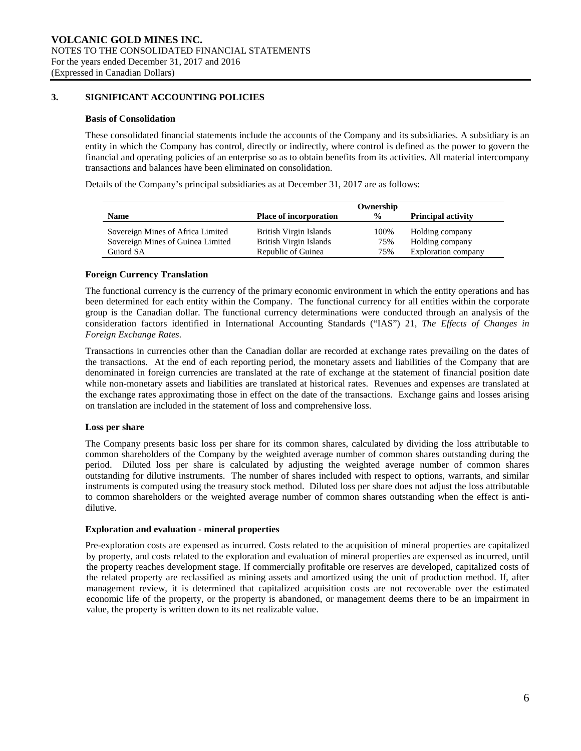## **3. SIGNIFICANT ACCOUNTING POLICIES**

#### **Basis of Consolidation**

These consolidated financial statements include the accounts of the Company and its subsidiaries. A subsidiary is an entity in which the Company has control, directly or indirectly, where control is defined as the power to govern the financial and operating policies of an enterprise so as to obtain benefits from its activities. All material intercompany transactions and balances have been eliminated on consolidation.

Details of the Company's principal subsidiaries as at December 31, 2017 are as follows:

|                                                                        |                                                  | Ownership     |                                    |
|------------------------------------------------------------------------|--------------------------------------------------|---------------|------------------------------------|
| <b>Name</b>                                                            | <b>Place of incorporation</b>                    | $\frac{0}{0}$ | <b>Principal activity</b>          |
| Sovereign Mines of Africa Limited<br>Sovereign Mines of Guinea Limited | British Virgin Islands<br>British Virgin Islands | 100%<br>75%   | Holding company<br>Holding company |
| Guiord SA                                                              | Republic of Guinea                               | 75%           | Exploration company                |

### **Foreign Currency Translation**

The functional currency is the currency of the primary economic environment in which the entity operations and has been determined for each entity within the Company. The functional currency for all entities within the corporate group is the Canadian dollar. The functional currency determinations were conducted through an analysis of the consideration factors identified in International Accounting Standards ("IAS") 21, *The Effects of Changes in Foreign Exchange Rates*.

Transactions in currencies other than the Canadian dollar are recorded at exchange rates prevailing on the dates of the transactions. At the end of each reporting period, the monetary assets and liabilities of the Company that are denominated in foreign currencies are translated at the rate of exchange at the statement of financial position date while non-monetary assets and liabilities are translated at historical rates. Revenues and expenses are translated at the exchange rates approximating those in effect on the date of the transactions. Exchange gains and losses arising on translation are included in the statement of loss and comprehensive loss.

#### **Loss per share**

The Company presents basic loss per share for its common shares, calculated by dividing the loss attributable to common shareholders of the Company by the weighted average number of common shares outstanding during the period. Diluted loss per share is calculated by adjusting the weighted average number of common shares outstanding for dilutive instruments. The number of shares included with respect to options, warrants, and similar instruments is computed using the treasury stock method. Diluted loss per share does not adjust the loss attributable to common shareholders or the weighted average number of common shares outstanding when the effect is antidilutive.

#### **Exploration and evaluation - mineral properties**

Pre-exploration costs are expensed as incurred. Costs related to the acquisition of mineral properties are capitalized by property, and costs related to the exploration and evaluation of mineral properties are expensed as incurred, until the property reaches development stage. If commercially profitable ore reserves are developed, capitalized costs of the related property are reclassified as mining assets and amortized using the unit of production method. If, after management review, it is determined that capitalized acquisition costs are not recoverable over the estimated economic life of the property, or the property is abandoned, or management deems there to be an impairment in value, the property is written down to its net realizable value.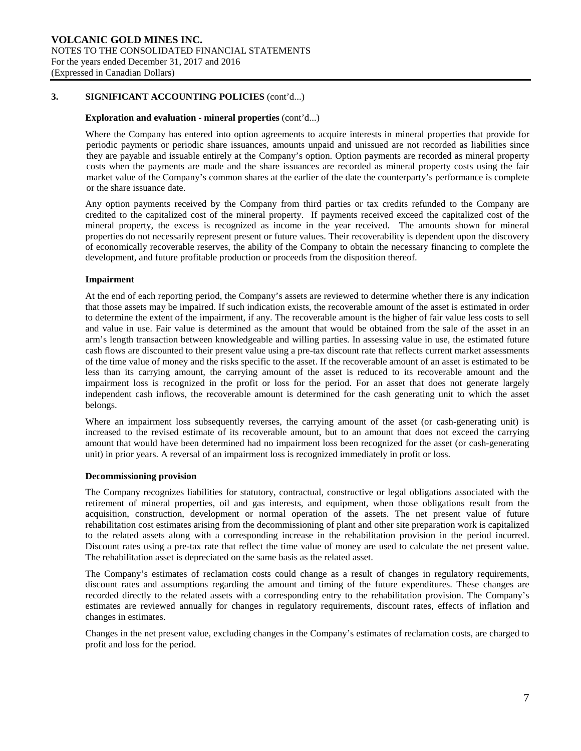#### **Exploration and evaluation - mineral properties** (cont'd...)

Where the Company has entered into option agreements to acquire interests in mineral properties that provide for periodic payments or periodic share issuances, amounts unpaid and unissued are not recorded as liabilities since they are payable and issuable entirely at the Company's option. Option payments are recorded as mineral property costs when the payments are made and the share issuances are recorded as mineral property costs using the fair market value of the Company's common shares at the earlier of the date the counterparty's performance is complete or the share issuance date.

Any option payments received by the Company from third parties or tax credits refunded to the Company are credited to the capitalized cost of the mineral property. If payments received exceed the capitalized cost of the mineral property, the excess is recognized as income in the year received. The amounts shown for mineral properties do not necessarily represent present or future values. Their recoverability is dependent upon the discovery of economically recoverable reserves, the ability of the Company to obtain the necessary financing to complete the development, and future profitable production or proceeds from the disposition thereof.

### **Impairment**

At the end of each reporting period, the Company's assets are reviewed to determine whether there is any indication that those assets may be impaired. If such indication exists, the recoverable amount of the asset is estimated in order to determine the extent of the impairment, if any. The recoverable amount is the higher of fair value less costs to sell and value in use. Fair value is determined as the amount that would be obtained from the sale of the asset in an arm's length transaction between knowledgeable and willing parties. In assessing value in use, the estimated future cash flows are discounted to their present value using a pre-tax discount rate that reflects current market assessments of the time value of money and the risks specific to the asset. If the recoverable amount of an asset is estimated to be less than its carrying amount, the carrying amount of the asset is reduced to its recoverable amount and the impairment loss is recognized in the profit or loss for the period. For an asset that does not generate largely independent cash inflows, the recoverable amount is determined for the cash generating unit to which the asset belongs.

Where an impairment loss subsequently reverses, the carrying amount of the asset (or cash-generating unit) is increased to the revised estimate of its recoverable amount, but to an amount that does not exceed the carrying amount that would have been determined had no impairment loss been recognized for the asset (or cash-generating unit) in prior years. A reversal of an impairment loss is recognized immediately in profit or loss.

#### **Decommissioning provision**

The Company recognizes liabilities for statutory, contractual, constructive or legal obligations associated with the retirement of mineral properties, oil and gas interests, and equipment, when those obligations result from the acquisition, construction, development or normal operation of the assets. The net present value of future rehabilitation cost estimates arising from the decommissioning of plant and other site preparation work is capitalized to the related assets along with a corresponding increase in the rehabilitation provision in the period incurred. Discount rates using a pre-tax rate that reflect the time value of money are used to calculate the net present value. The rehabilitation asset is depreciated on the same basis as the related asset.

The Company's estimates of reclamation costs could change as a result of changes in regulatory requirements, discount rates and assumptions regarding the amount and timing of the future expenditures. These changes are recorded directly to the related assets with a corresponding entry to the rehabilitation provision. The Company's estimates are reviewed annually for changes in regulatory requirements, discount rates, effects of inflation and changes in estimates.

Changes in the net present value, excluding changes in the Company's estimates of reclamation costs, are charged to profit and loss for the period.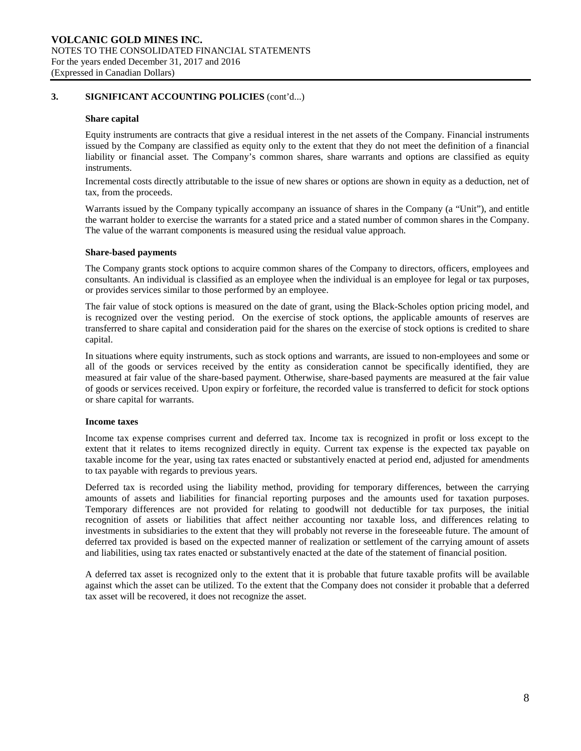#### **Share capital**

Equity instruments are contracts that give a residual interest in the net assets of the Company. Financial instruments issued by the Company are classified as equity only to the extent that they do not meet the definition of a financial liability or financial asset. The Company's common shares, share warrants and options are classified as equity instruments.

Incremental costs directly attributable to the issue of new shares or options are shown in equity as a deduction, net of tax, from the proceeds.

Warrants issued by the Company typically accompany an issuance of shares in the Company (a "Unit"), and entitle the warrant holder to exercise the warrants for a stated price and a stated number of common shares in the Company. The value of the warrant components is measured using the residual value approach.

#### **Share-based payments**

The Company grants stock options to acquire common shares of the Company to directors, officers, employees and consultants. An individual is classified as an employee when the individual is an employee for legal or tax purposes, or provides services similar to those performed by an employee.

The fair value of stock options is measured on the date of grant, using the Black-Scholes option pricing model, and is recognized over the vesting period. On the exercise of stock options, the applicable amounts of reserves are transferred to share capital and consideration paid for the shares on the exercise of stock options is credited to share capital.

In situations where equity instruments, such as stock options and warrants, are issued to non-employees and some or all of the goods or services received by the entity as consideration cannot be specifically identified, they are measured at fair value of the share-based payment. Otherwise, share-based payments are measured at the fair value of goods or services received. Upon expiry or forfeiture, the recorded value is transferred to deficit for stock options or share capital for warrants.

### **Income taxes**

Income tax expense comprises current and deferred tax. Income tax is recognized in profit or loss except to the extent that it relates to items recognized directly in equity. Current tax expense is the expected tax payable on taxable income for the year, using tax rates enacted or substantively enacted at period end, adjusted for amendments to tax payable with regards to previous years.

Deferred tax is recorded using the liability method, providing for temporary differences, between the carrying amounts of assets and liabilities for financial reporting purposes and the amounts used for taxation purposes. Temporary differences are not provided for relating to goodwill not deductible for tax purposes, the initial recognition of assets or liabilities that affect neither accounting nor taxable loss, and differences relating to investments in subsidiaries to the extent that they will probably not reverse in the foreseeable future. The amount of deferred tax provided is based on the expected manner of realization or settlement of the carrying amount of assets and liabilities, using tax rates enacted or substantively enacted at the date of the statement of financial position.

A deferred tax asset is recognized only to the extent that it is probable that future taxable profits will be available against which the asset can be utilized. To the extent that the Company does not consider it probable that a deferred tax asset will be recovered, it does not recognize the asset.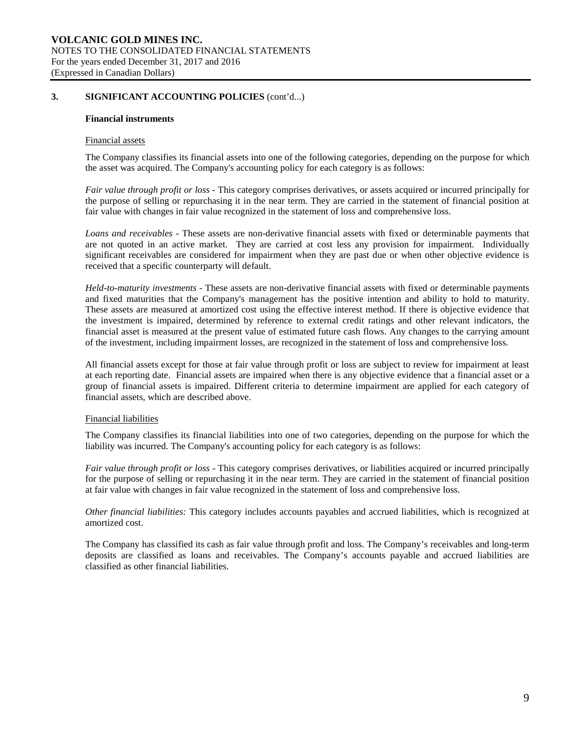#### **Financial instruments**

#### Financial assets

The Company classifies its financial assets into one of the following categories, depending on the purpose for which the asset was acquired. The Company's accounting policy for each category is as follows:

*Fair value through profit or loss -* This category comprises derivatives, or assets acquired or incurred principally for the purpose of selling or repurchasing it in the near term. They are carried in the statement of financial position at fair value with changes in fair value recognized in the statement of loss and comprehensive loss.

*Loans and receivables -* These assets are non-derivative financial assets with fixed or determinable payments that are not quoted in an active market. They are carried at cost less any provision for impairment. Individually significant receivables are considered for impairment when they are past due or when other objective evidence is received that a specific counterparty will default.

*Held-to-maturity investments* - These assets are non-derivative financial assets with fixed or determinable payments and fixed maturities that the Company's management has the positive intention and ability to hold to maturity. These assets are measured at amortized cost using the effective interest method. If there is objective evidence that the investment is impaired, determined by reference to external credit ratings and other relevant indicators, the financial asset is measured at the present value of estimated future cash flows. Any changes to the carrying amount of the investment, including impairment losses, are recognized in the statement of loss and comprehensive loss.

All financial assets except for those at fair value through profit or loss are subject to review for impairment at least at each reporting date. Financial assets are impaired when there is any objective evidence that a financial asset or a group of financial assets is impaired. Different criteria to determine impairment are applied for each category of financial assets, which are described above.

#### Financial liabilities

The Company classifies its financial liabilities into one of two categories, depending on the purpose for which the liability was incurred. The Company's accounting policy for each category is as follows:

*Fair value through profit or loss* - This category comprises derivatives, or liabilities acquired or incurred principally for the purpose of selling or repurchasing it in the near term. They are carried in the statement of financial position at fair value with changes in fair value recognized in the statement of loss and comprehensive loss.

*Other financial liabilities:* This category includes accounts payables and accrued liabilities, which is recognized at amortized cost.

The Company has classified its cash as fair value through profit and loss. The Company's receivables and long-term deposits are classified as loans and receivables. The Company's accounts payable and accrued liabilities are classified as other financial liabilities.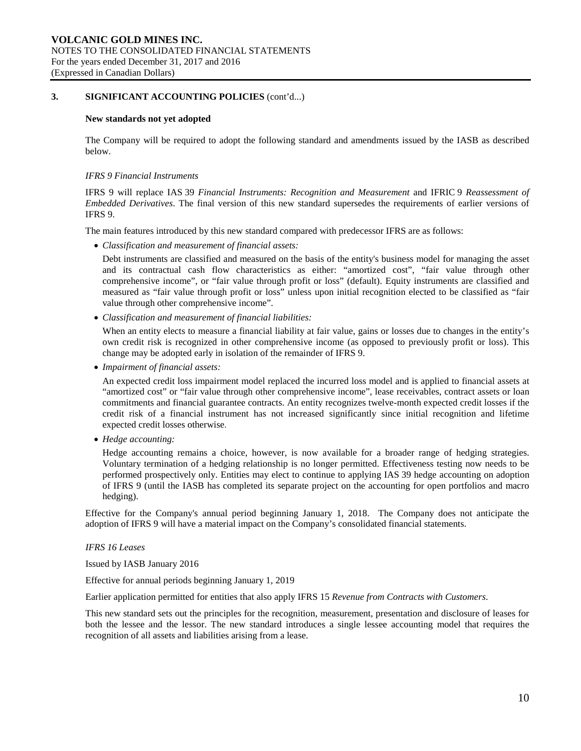#### **New standards not yet adopted**

The Company will be required to adopt the following standard and amendments issued by the IASB as described below.

#### *IFRS 9 Financial Instruments*

IFRS 9 will replace IAS 39 *Financial Instruments: Recognition and Measurement* and IFRIC 9 *Reassessment of Embedded Derivatives*. The final version of this new standard supersedes the requirements of earlier versions of IFRS 9.

The main features introduced by this new standard compared with predecessor IFRS are as follows:

• *Classification and measurement of financial assets:*

Debt instruments are classified and measured on the basis of the entity's business model for managing the asset and its contractual cash flow characteristics as either: "amortized cost", "fair value through other comprehensive income", or "fair value through profit or loss" (default). Equity instruments are classified and measured as "fair value through profit or loss" unless upon initial recognition elected to be classified as "fair value through other comprehensive income".

• *Classification and measurement of financial liabilities:*

When an entity elects to measure a financial liability at fair value, gains or losses due to changes in the entity's own credit risk is recognized in other comprehensive income (as opposed to previously profit or loss). This change may be adopted early in isolation of the remainder of IFRS 9.

• *Impairment of financial assets:*

An expected credit loss impairment model replaced the incurred loss model and is applied to financial assets at "amortized cost" or "fair value through other comprehensive income", lease receivables, contract assets or loan commitments and financial guarantee contracts. An entity recognizes twelve-month expected credit losses if the credit risk of a financial instrument has not increased significantly since initial recognition and lifetime expected credit losses otherwise.

• *Hedge accounting:*

Hedge accounting remains a choice, however, is now available for a broader range of hedging strategies. Voluntary termination of a hedging relationship is no longer permitted. Effectiveness testing now needs to be performed prospectively only. Entities may elect to continue to applying IAS 39 hedge accounting on adoption of IFRS 9 (until the IASB has completed its separate project on the accounting for open portfolios and macro hedging).

Effective for the Company's annual period beginning January 1, 2018. The Company does not anticipate the adoption of IFRS 9 will have a material impact on the Company's consolidated financial statements.

### *IFRS 16 Leases*

Issued by IASB January 2016

Effective for annual periods beginning January 1, 2019

Earlier application permitted for entities that also apply IFRS 15 *Revenue from Contracts with Customers*.

This new standard sets out the principles for the recognition, measurement, presentation and disclosure of leases for both the lessee and the lessor. The new standard introduces a single lessee accounting model that requires the recognition of all assets and liabilities arising from a lease.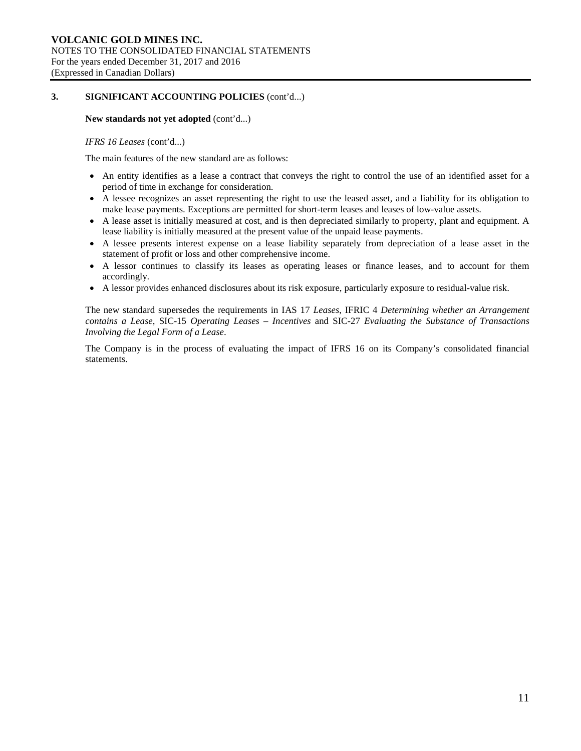#### **New standards not yet adopted** (cont'd...)

#### *IFRS 16 Leases* (cont'd...)

The main features of the new standard are as follows:

- An entity identifies as a lease a contract that conveys the right to control the use of an identified asset for a period of time in exchange for consideration.
- A lessee recognizes an asset representing the right to use the leased asset, and a liability for its obligation to make lease payments. Exceptions are permitted for short-term leases and leases of low-value assets.
- A lease asset is initially measured at cost, and is then depreciated similarly to property, plant and equipment. A lease liability is initially measured at the present value of the unpaid lease payments.
- A lessee presents interest expense on a lease liability separately from depreciation of a lease asset in the statement of profit or loss and other comprehensive income.
- A lessor continues to classify its leases as operating leases or finance leases, and to account for them accordingly.
- A lessor provides enhanced disclosures about its risk exposure, particularly exposure to residual-value risk.

The new standard supersedes the requirements in IAS 17 *Leases*, IFRIC 4 *Determining whether an Arrangement contains a Lease*, SIC-15 *Operating Leases – Incentives* and SIC-27 *Evaluating the Substance of Transactions Involving the Legal Form of a Lease*.

The Company is in the process of evaluating the impact of IFRS 16 on its Company's consolidated financial statements.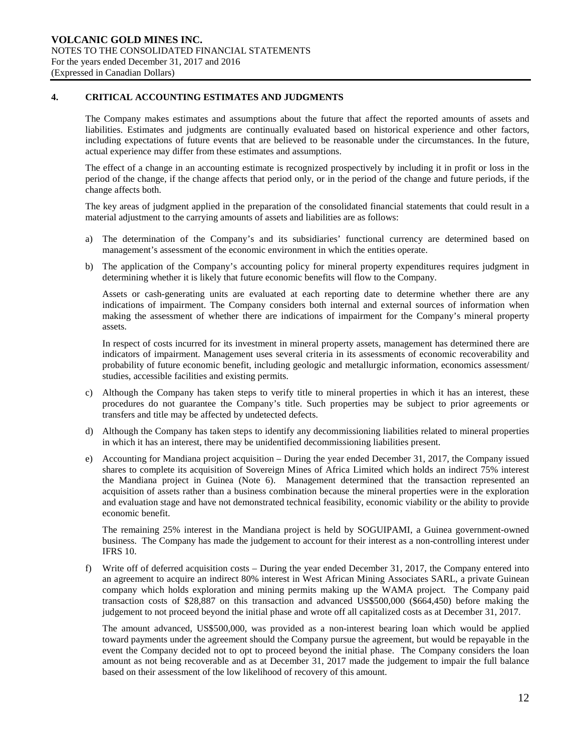### **4. CRITICAL ACCOUNTING ESTIMATES AND JUDGMENTS**

The Company makes estimates and assumptions about the future that affect the reported amounts of assets and liabilities. Estimates and judgments are continually evaluated based on historical experience and other factors, including expectations of future events that are believed to be reasonable under the circumstances. In the future, actual experience may differ from these estimates and assumptions.

The effect of a change in an accounting estimate is recognized prospectively by including it in profit or loss in the period of the change, if the change affects that period only, or in the period of the change and future periods, if the change affects both.

The key areas of judgment applied in the preparation of the consolidated financial statements that could result in a material adjustment to the carrying amounts of assets and liabilities are as follows:

- a) The determination of the Company's and its subsidiaries' functional currency are determined based on management's assessment of the economic environment in which the entities operate.
- b) The application of the Company's accounting policy for mineral property expenditures requires judgment in determining whether it is likely that future economic benefits will flow to the Company.

Assets or cash-generating units are evaluated at each reporting date to determine whether there are any indications of impairment. The Company considers both internal and external sources of information when making the assessment of whether there are indications of impairment for the Company's mineral property assets.

In respect of costs incurred for its investment in mineral property assets, management has determined there are indicators of impairment. Management uses several criteria in its assessments of economic recoverability and probability of future economic benefit, including geologic and metallurgic information, economics assessment/ studies, accessible facilities and existing permits.

- c) Although the Company has taken steps to verify title to mineral properties in which it has an interest, these procedures do not guarantee the Company's title. Such properties may be subject to prior agreements or transfers and title may be affected by undetected defects.
- d) Although the Company has taken steps to identify any decommissioning liabilities related to mineral properties in which it has an interest, there may be unidentified decommissioning liabilities present.
- e) Accounting for Mandiana project acquisition During the year ended December 31, 2017, the Company issued shares to complete its acquisition of Sovereign Mines of Africa Limited which holds an indirect 75% interest the Mandiana project in Guinea (Note 6). Management determined that the transaction represented an acquisition of assets rather than a business combination because the mineral properties were in the exploration and evaluation stage and have not demonstrated technical feasibility, economic viability or the ability to provide economic benefit.

The remaining 25% interest in the Mandiana project is held by SOGUIPAMI, a Guinea government-owned business. The Company has made the judgement to account for their interest as a non-controlling interest under IFRS 10.

f) Write off of deferred acquisition costs – During the year ended December 31, 2017, the Company entered into an agreement to acquire an indirect 80% interest in West African Mining Associates SARL, a private Guinean company which holds exploration and mining permits making up the WAMA project. The Company paid transaction costs of \$28,887 on this transaction and advanced US\$500,000 (\$664,450) before making the judgement to not proceed beyond the initial phase and wrote off all capitalized costs as at December 31, 2017.

The amount advanced, US\$500,000, was provided as a non-interest bearing loan which would be applied toward payments under the agreement should the Company pursue the agreement, but would be repayable in the event the Company decided not to opt to proceed beyond the initial phase. The Company considers the loan amount as not being recoverable and as at December 31, 2017 made the judgement to impair the full balance based on their assessment of the low likelihood of recovery of this amount.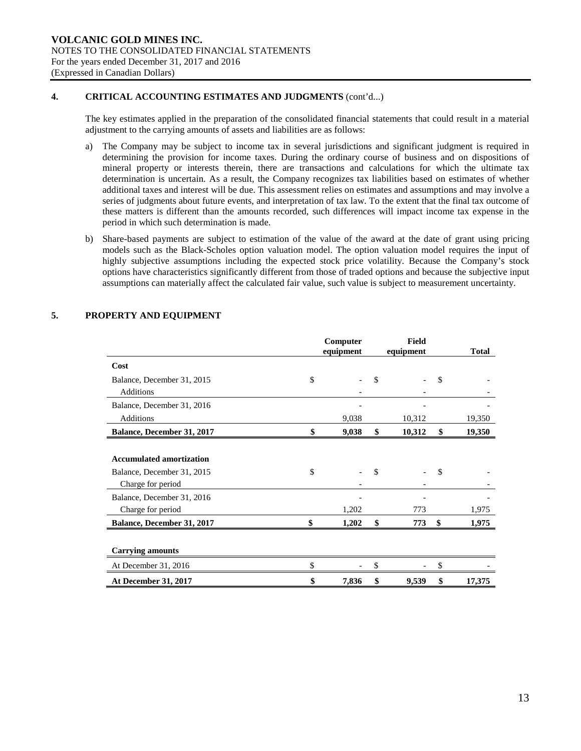### **4. CRITICAL ACCOUNTING ESTIMATES AND JUDGMENTS** (cont'd...)

The key estimates applied in the preparation of the consolidated financial statements that could result in a material adjustment to the carrying amounts of assets and liabilities are as follows:

- a) The Company may be subject to income tax in several jurisdictions and significant judgment is required in determining the provision for income taxes. During the ordinary course of business and on dispositions of mineral property or interests therein, there are transactions and calculations for which the ultimate tax determination is uncertain. As a result, the Company recognizes tax liabilities based on estimates of whether additional taxes and interest will be due. This assessment relies on estimates and assumptions and may involve a series of judgments about future events, and interpretation of tax law. To the extent that the final tax outcome of these matters is different than the amounts recorded, such differences will impact income tax expense in the period in which such determination is made.
- b) Share-based payments are subject to estimation of the value of the award at the date of grant using pricing models such as the Black-Scholes option valuation model. The option valuation model requires the input of highly subjective assumptions including the expected stock price volatility. Because the Company's stock options have characteristics significantly different from those of traded options and because the subjective input assumptions can materially affect the calculated fair value, such value is subject to measurement uncertainty.

|                                                | Computer<br>equipment |       | <b>Field</b><br>equipment | <b>Total</b> |
|------------------------------------------------|-----------------------|-------|---------------------------|--------------|
| Cost                                           |                       |       |                           |              |
| Balance, December 31, 2015<br><b>Additions</b> | \$                    |       | \$                        | \$           |
| Balance, December 31, 2016                     |                       |       |                           |              |
| <b>Additions</b>                               |                       | 9,038 | 10,312                    | 19,350       |
| <b>Balance, December 31, 2017</b>              | \$                    | 9,038 | \$<br>10,312              | \$<br>19,350 |
|                                                |                       |       |                           |              |
| <b>Accumulated amortization</b>                |                       |       |                           |              |
| Balance, December 31, 2015                     | \$                    |       | \$                        | \$           |
| Charge for period                              |                       |       |                           |              |
| Balance, December 31, 2016                     |                       |       |                           |              |
| Charge for period                              |                       | 1,202 | 773                       | 1,975        |
| <b>Balance, December 31, 2017</b>              | \$                    | 1,202 | \$<br>773                 | \$<br>1,975  |
|                                                |                       |       |                           |              |
| <b>Carrying amounts</b>                        |                       |       |                           |              |
| At December 31, 2016                           | \$                    |       | \$                        | \$           |
| <b>At December 31, 2017</b>                    | \$                    | 7,836 | \$<br>9,539               | \$<br>17,375 |

### **5. PROPERTY AND EQUIPMENT**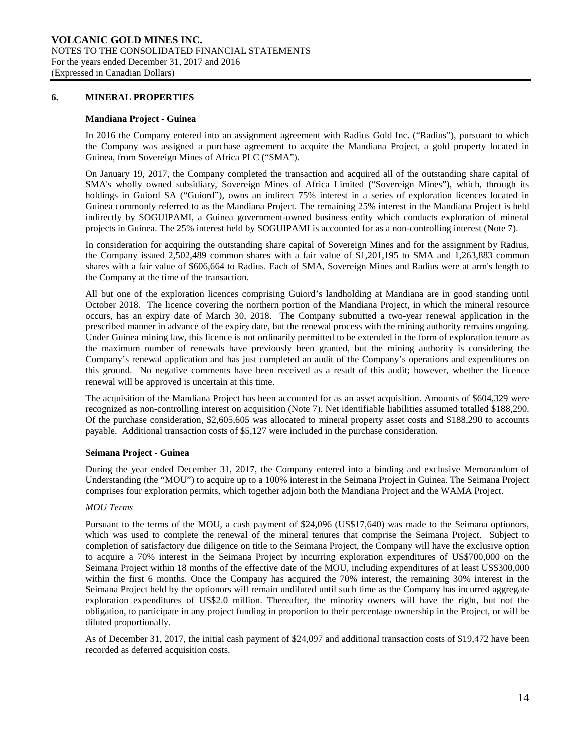#### **6. MINERAL PROPERTIES**

#### **Mandiana Project - Guinea**

In 2016 the Company entered into an assignment agreement with Radius Gold Inc. ("Radius"), pursuant to which the Company was assigned a purchase agreement to acquire the Mandiana Project, a gold property located in Guinea, from Sovereign Mines of Africa PLC ("SMA").

On January 19, 2017, the Company completed the transaction and acquired all of the outstanding share capital of SMA's wholly owned subsidiary, Sovereign Mines of Africa Limited ("Sovereign Mines"), which, through its holdings in Guiord SA ("Guiord"), owns an indirect 75% interest in a series of exploration licences located in Guinea commonly referred to as the Mandiana Project. The remaining 25% interest in the Mandiana Project is held indirectly by SOGUIPAMI, a Guinea government-owned business entity which conducts exploration of mineral projects in Guinea. The 25% interest held by SOGUIPAMI is accounted for as a non-controlling interest (Note 7).

In consideration for acquiring the outstanding share capital of Sovereign Mines and for the assignment by Radius, the Company issued 2,502,489 common shares with a fair value of \$1,201,195 to SMA and 1,263,883 common shares with a fair value of \$606,664 to Radius. Each of SMA, Sovereign Mines and Radius were at arm's length to the Company at the time of the transaction.

All but one of the exploration licences comprising Guiord's landholding at Mandiana are in good standing until October 2018. The licence covering the northern portion of the Mandiana Project, in which the mineral resource occurs, has an expiry date of March 30, 2018. The Company submitted a two-year renewal application in the prescribed manner in advance of the expiry date, but the renewal process with the mining authority remains ongoing. Under Guinea mining law, this licence is not ordinarily permitted to be extended in the form of exploration tenure as the maximum number of renewals have previously been granted, but the mining authority is considering the Company's renewal application and has just completed an audit of the Company's operations and expenditures on this ground. No negative comments have been received as a result of this audit; however, whether the licence renewal will be approved is uncertain at this time.

The acquisition of the Mandiana Project has been accounted for as an asset acquisition. Amounts of \$604,329 were recognized as non-controlling interest on acquisition (Note 7). Net identifiable liabilities assumed totalled \$188,290. Of the purchase consideration, \$2,605,605 was allocated to mineral property asset costs and \$188,290 to accounts payable. Additional transaction costs of \$5,127 were included in the purchase consideration.

#### **Seimana Project - Guinea**

During the year ended December 31, 2017, the Company entered into a binding and exclusive Memorandum of Understanding (the "MOU") to acquire up to a 100% interest in the Seimana Project in Guinea. The Seimana Project comprises four exploration permits, which together adjoin both the Mandiana Project and the WAMA Project.

#### *MOU Terms*

Pursuant to the terms of the MOU, a cash payment of \$24,096 (US\$17,640) was made to the Seimana optionors, which was used to complete the renewal of the mineral tenures that comprise the Seimana Project. Subject to completion of satisfactory due diligence on title to the Seimana Project, the Company will have the exclusive option to acquire a 70% interest in the Seimana Project by incurring exploration expenditures of US\$700,000 on the Seimana Project within 18 months of the effective date of the MOU, including expenditures of at least US\$300,000 within the first 6 months. Once the Company has acquired the 70% interest, the remaining 30% interest in the Seimana Project held by the optionors will remain undiluted until such time as the Company has incurred aggregate exploration expenditures of US\$2.0 million. Thereafter, the minority owners will have the right, but not the obligation, to participate in any project funding in proportion to their percentage ownership in the Project, or will be diluted proportionally.

As of December 31, 2017, the initial cash payment of \$24,097 and additional transaction costs of \$19,472 have been recorded as deferred acquisition costs.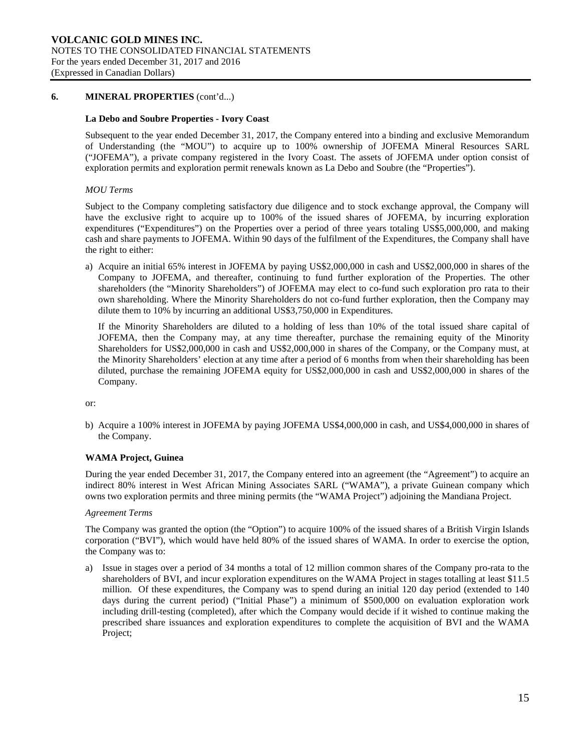#### **6. MINERAL PROPERTIES** (cont'd...)

#### **La Debo and Soubre Properties - Ivory Coast**

Subsequent to the year ended December 31, 2017, the Company entered into a binding and exclusive Memorandum of Understanding (the "MOU") to acquire up to 100% ownership of JOFEMA Mineral Resources SARL ("JOFEMA"), a private company registered in the Ivory Coast. The assets of JOFEMA under option consist of exploration permits and exploration permit renewals known as La Debo and Soubre (the "Properties").

### *MOU Terms*

Subject to the Company completing satisfactory due diligence and to stock exchange approval, the Company will have the exclusive right to acquire up to 100% of the issued shares of JOFEMA, by incurring exploration expenditures ("Expenditures") on the Properties over a period of three years totaling US\$5,000,000, and making cash and share payments to JOFEMA. Within 90 days of the fulfilment of the Expenditures, the Company shall have the right to either:

a) Acquire an initial 65% interest in JOFEMA by paying US\$2,000,000 in cash and US\$2,000,000 in shares of the Company to JOFEMA, and thereafter, continuing to fund further exploration of the Properties. The other shareholders (the "Minority Shareholders") of JOFEMA may elect to co-fund such exploration pro rata to their own shareholding. Where the Minority Shareholders do not co-fund further exploration, then the Company may dilute them to 10% by incurring an additional US\$3,750,000 in Expenditures.

If the Minority Shareholders are diluted to a holding of less than 10% of the total issued share capital of JOFEMA, then the Company may, at any time thereafter, purchase the remaining equity of the Minority Shareholders for US\$2,000,000 in cash and US\$2,000,000 in shares of the Company, or the Company must, at the Minority Shareholders' election at any time after a period of 6 months from when their shareholding has been diluted, purchase the remaining JOFEMA equity for US\$2,000,000 in cash and US\$2,000,000 in shares of the Company.

or:

b) Acquire a 100% interest in JOFEMA by paying JOFEMA US\$4,000,000 in cash, and US\$4,000,000 in shares of the Company.

### **WAMA Project, Guinea**

During the year ended December 31, 2017, the Company entered into an agreement (the "Agreement") to acquire an indirect 80% interest in West African Mining Associates SARL ("WAMA"), a private Guinean company which owns two exploration permits and three mining permits (the "WAMA Project") adjoining the Mandiana Project.

#### *Agreement Terms*

The Company was granted the option (the "Option") to acquire 100% of the issued shares of a British Virgin Islands corporation ("BVI"), which would have held 80% of the issued shares of WAMA. In order to exercise the option, the Company was to:

a) Issue in stages over a period of 34 months a total of 12 million common shares of the Company pro-rata to the shareholders of BVI, and incur exploration expenditures on the WAMA Project in stages totalling at least \$11.5 million. Of these expenditures, the Company was to spend during an initial 120 day period (extended to 140 days during the current period) ("Initial Phase") a minimum of \$500,000 on evaluation exploration work including drill-testing (completed), after which the Company would decide if it wished to continue making the prescribed share issuances and exploration expenditures to complete the acquisition of BVI and the WAMA Project;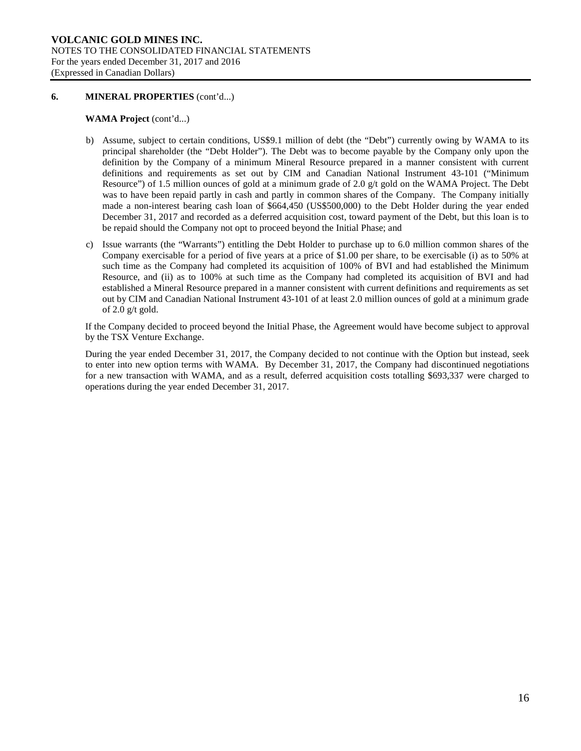### **6. MINERAL PROPERTIES** (cont'd...)

#### **WAMA Project** (cont'd...)

- b) Assume, subject to certain conditions, US\$9.1 million of debt (the "Debt") currently owing by WAMA to its principal shareholder (the "Debt Holder"). The Debt was to become payable by the Company only upon the definition by the Company of a minimum Mineral Resource prepared in a manner consistent with current definitions and requirements as set out by CIM and Canadian National Instrument 43-101 ("Minimum Resource") of 1.5 million ounces of gold at a minimum grade of 2.0  $g/t$  gold on the WAMA Project. The Debt was to have been repaid partly in cash and partly in common shares of the Company. The Company initially made a non-interest bearing cash loan of \$664,450 (US\$500,000) to the Debt Holder during the year ended December 31, 2017 and recorded as a deferred acquisition cost, toward payment of the Debt, but this loan is to be repaid should the Company not opt to proceed beyond the Initial Phase; and
- c) Issue warrants (the "Warrants") entitling the Debt Holder to purchase up to 6.0 million common shares of the Company exercisable for a period of five years at a price of \$1.00 per share, to be exercisable (i) as to 50% at such time as the Company had completed its acquisition of 100% of BVI and had established the Minimum Resource, and (ii) as to 100% at such time as the Company had completed its acquisition of BVI and had established a Mineral Resource prepared in a manner consistent with current definitions and requirements as set out by CIM and Canadian National Instrument 43-101 of at least 2.0 million ounces of gold at a minimum grade of  $2.0$  g/t gold.

If the Company decided to proceed beyond the Initial Phase, the Agreement would have become subject to approval by the TSX Venture Exchange.

During the year ended December 31, 2017, the Company decided to not continue with the Option but instead, seek to enter into new option terms with WAMA. By December 31, 2017, the Company had discontinued negotiations for a new transaction with WAMA, and as a result, deferred acquisition costs totalling \$693,337 were charged to operations during the year ended December 31, 2017.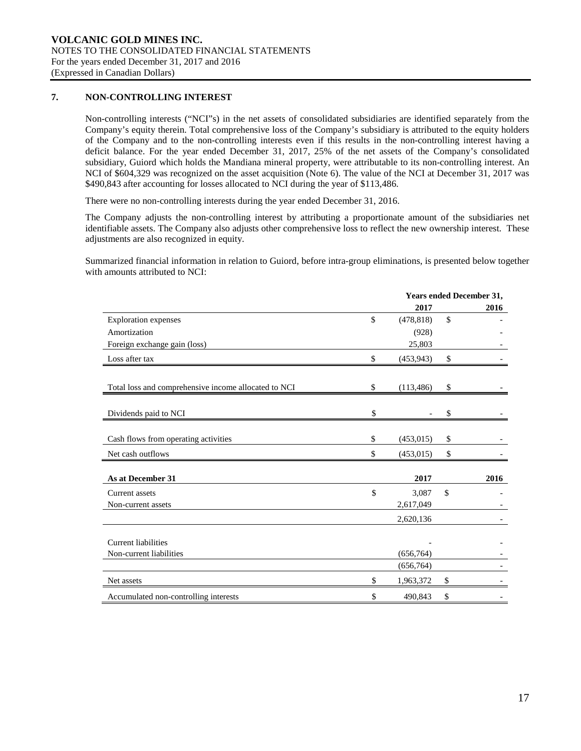### **7. NON-CONTROLLING INTEREST**

Non-controlling interests ("NCI"s) in the net assets of consolidated subsidiaries are identified separately from the Company's equity therein. Total comprehensive loss of the Company's subsidiary is attributed to the equity holders of the Company and to the non-controlling interests even if this results in the non-controlling interest having a deficit balance. For the year ended December 31, 2017, 25% of the net assets of the Company's consolidated subsidiary, Guiord which holds the Mandiana mineral property, were attributable to its non-controlling interest. An NCI of \$604,329 was recognized on the asset acquisition (Note 6). The value of the NCI at December 31, 2017 was \$490,843 after accounting for losses allocated to NCI during the year of \$113,486.

There were no non-controlling interests during the year ended December 31, 2016.

The Company adjusts the non-controlling interest by attributing a proportionate amount of the subsidiaries net identifiable assets. The Company also adjusts other comprehensive loss to reflect the new ownership interest. These adjustments are also recognized in equity.

Summarized financial information in relation to Guiord, before intra-group eliminations, is presented below together with amounts attributed to NCI:

|                                                       |                  | <b>Years ended December 31,</b> |      |  |  |
|-------------------------------------------------------|------------------|---------------------------------|------|--|--|
|                                                       | 2017             |                                 | 2016 |  |  |
| <b>Exploration</b> expenses                           | \$<br>(478, 818) | \$                              |      |  |  |
| Amortization                                          | (928)            |                                 |      |  |  |
| Foreign exchange gain (loss)                          | 25,803           |                                 |      |  |  |
| Loss after tax                                        | \$<br>(453, 943) | \$                              |      |  |  |
| Total loss and comprehensive income allocated to NCI  | \$<br>(113, 486) | \$                              |      |  |  |
| Dividends paid to NCI                                 | \$               | \$                              |      |  |  |
| Cash flows from operating activities                  | \$<br>(453, 015) | \$                              |      |  |  |
| Net cash outflows                                     | \$<br>(453, 015) | \$                              |      |  |  |
| As at December 31                                     | 2017             |                                 | 2016 |  |  |
| Current assets                                        | \$<br>3,087      | \$                              |      |  |  |
| Non-current assets                                    | 2,617,049        |                                 |      |  |  |
|                                                       | 2,620,136        |                                 |      |  |  |
| <b>Current liabilities</b><br>Non-current liabilities | (656, 764)       |                                 |      |  |  |
|                                                       | (656, 764)       |                                 |      |  |  |
| Net assets                                            | \$<br>1,963,372  | \$                              |      |  |  |
| Accumulated non-controlling interests                 | \$<br>490,843    | \$                              |      |  |  |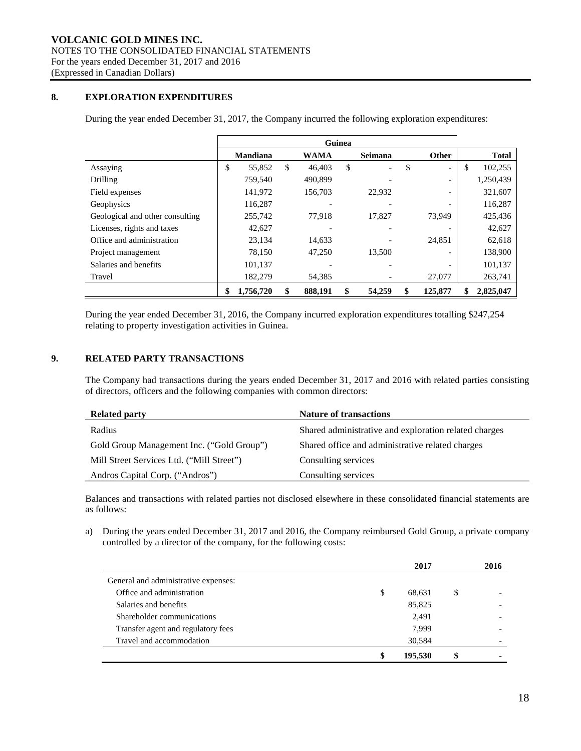# **8. EXPLORATION EXPENDITURES**

During the year ended December 31, 2017, the Company incurred the following exploration expenditures:

|                                 | Guinea |           |    |             |    |         |    |                          |                 |
|---------------------------------|--------|-----------|----|-------------|----|---------|----|--------------------------|-----------------|
|                                 |        | Mandiana  |    | <b>WAMA</b> |    | Seimana |    | Other                    | <b>Total</b>    |
| Assaying                        | \$     | 55,852    | \$ | 46,403      | \$ |         | \$ | $\overline{\phantom{a}}$ | \$<br>102,255   |
| Drilling                        |        | 759,540   |    | 490.899     |    |         |    | $\overline{\phantom{0}}$ | 1,250,439       |
| Field expenses                  |        | 141,972   |    | 156,703     |    | 22.932  |    | $\overline{\phantom{0}}$ | 321,607         |
| Geophysics                      |        | 116,287   |    |             |    |         |    |                          | 116,287         |
| Geological and other consulting |        | 255,742   |    | 77,918      |    | 17,827  |    | 73,949                   | 425,436         |
| Licenses, rights and taxes      |        | 42,627    |    |             |    |         |    |                          | 42,627          |
| Office and administration       |        | 23,134    |    | 14,633      |    |         |    | 24,851                   | 62,618          |
| Project management              |        | 78,150    |    | 47,250      |    | 13,500  |    | $\overline{\phantom{0}}$ | 138,900         |
| Salaries and benefits           |        | 101,137   |    |             |    |         |    |                          | 101,137         |
| Travel                          |        | 182,279   |    | 54,385      |    |         |    | 27,077                   | 263,741         |
|                                 | \$     | 1.756.720 | \$ | 888.191     | \$ | 54,259  | \$ | 125,877                  | \$<br>2,825,047 |

During the year ended December 31, 2016, the Company incurred exploration expenditures totalling \$247,254 relating to property investigation activities in Guinea.

### **9. RELATED PARTY TRANSACTIONS**

The Company had transactions during the years ended December 31, 2017 and 2016 with related parties consisting of directors, officers and the following companies with common directors:

| <b>Related party</b>                      | <b>Nature of transactions</b>                         |
|-------------------------------------------|-------------------------------------------------------|
| Radius                                    | Shared administrative and exploration related charges |
| Gold Group Management Inc. ("Gold Group") | Shared office and administrative related charges      |
| Mill Street Services Ltd. ("Mill Street") | Consulting services                                   |
| Andros Capital Corp. ("Andros")           | Consulting services                                   |

Balances and transactions with related parties not disclosed elsewhere in these consolidated financial statements are as follows:

a) During the years ended December 31, 2017 and 2016, the Company reimbursed Gold Group, a private company controlled by a director of the company, for the following costs:

|                                      | 2017         | 2016 |
|--------------------------------------|--------------|------|
| General and administrative expenses: |              |      |
| Office and administration            | \$<br>68,631 |      |
| Salaries and benefits                | 85,825       |      |
| Shareholder communications           | 2.491        |      |
| Transfer agent and regulatory fees   | 7.999        |      |
| Travel and accommodation             | 30,584       |      |
|                                      | 195.530      |      |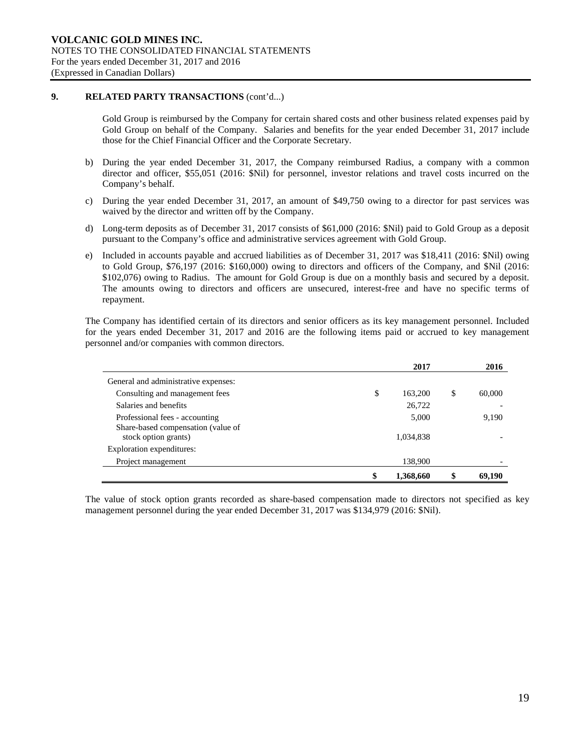### **9. RELATED PARTY TRANSACTIONS** (cont'd...)

Gold Group is reimbursed by the Company for certain shared costs and other business related expenses paid by Gold Group on behalf of the Company. Salaries and benefits for the year ended December 31, 2017 include those for the Chief Financial Officer and the Corporate Secretary.

- b) During the year ended December 31, 2017, the Company reimbursed Radius, a company with a common director and officer, \$55,051 (2016: \$Nil) for personnel, investor relations and travel costs incurred on the Company's behalf.
- c) During the year ended December 31, 2017, an amount of \$49,750 owing to a director for past services was waived by the director and written off by the Company.
- d) Long-term deposits as of December 31, 2017 consists of \$61,000 (2016: \$Nil) paid to Gold Group as a deposit pursuant to the Company's office and administrative services agreement with Gold Group.
- e) Included in accounts payable and accrued liabilities as of December 31, 2017 was \$18,411 (2016: \$Nil) owing to Gold Group, \$76,197 (2016: \$160,000) owing to directors and officers of the Company, and \$Nil (2016: \$102,076) owing to Radius. The amount for Gold Group is due on a monthly basis and secured by a deposit. The amounts owing to directors and officers are unsecured, interest-free and have no specific terms of repayment.

The Company has identified certain of its directors and senior officers as its key management personnel. Included for the years ended December 31, 2017 and 2016 are the following items paid or accrued to key management personnel and/or companies with common directors.

|                                                            | 2017            | 2016         |
|------------------------------------------------------------|-----------------|--------------|
| General and administrative expenses:                       |                 |              |
| Consulting and management fees                             | \$<br>163,200   | \$<br>60,000 |
| Salaries and benefits                                      | 26,722          |              |
| Professional fees - accounting                             | 5,000           | 9,190        |
| Share-based compensation (value of<br>stock option grants) | 1,034,838       |              |
| Exploration expenditures:                                  |                 |              |
| Project management                                         | 138,900         |              |
|                                                            | \$<br>1,368,660 | \$<br>69,190 |

The value of stock option grants recorded as share-based compensation made to directors not specified as key management personnel during the year ended December 31, 2017 was \$134,979 (2016: \$Nil).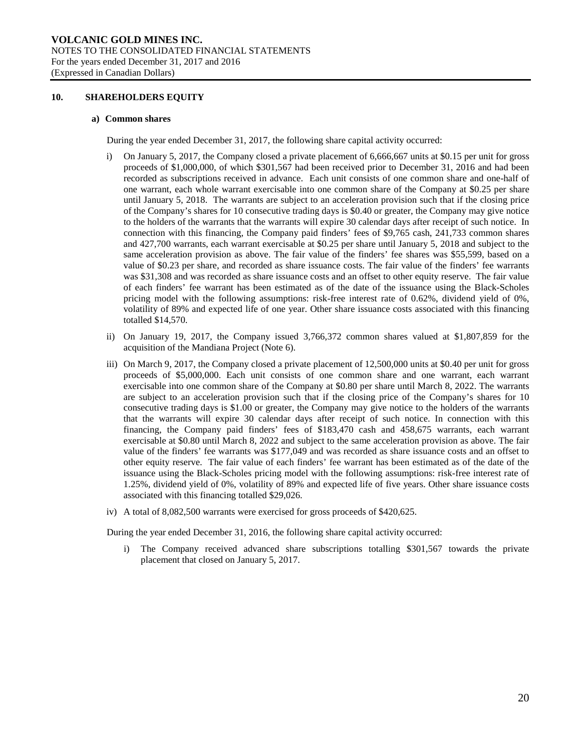#### **10. SHAREHOLDERS EQUITY**

#### **a) Common shares**

During the year ended December 31, 2017, the following share capital activity occurred:

- i) On January 5, 2017, the Company closed a private placement of 6,666,667 units at \$0.15 per unit for gross proceeds of \$1,000,000, of which \$301,567 had been received prior to December 31, 2016 and had been recorded as subscriptions received in advance. Each unit consists of one common share and one-half of one warrant, each whole warrant exercisable into one common share of the Company at \$0.25 per share until January 5, 2018. The warrants are subject to an acceleration provision such that if the closing price of the Company's shares for 10 consecutive trading days is \$0.40 or greater, the Company may give notice to the holders of the warrants that the warrants will expire 30 calendar days after receipt of such notice. In connection with this financing, the Company paid finders' fees of \$9,765 cash, 241,733 common shares and 427,700 warrants, each warrant exercisable at \$0.25 per share until January 5, 2018 and subject to the same acceleration provision as above. The fair value of the finders' fee shares was \$55,599, based on a value of \$0.23 per share, and recorded as share issuance costs. The fair value of the finders' fee warrants was \$31,308 and was recorded as share issuance costs and an offset to other equity reserve. The fair value of each finders' fee warrant has been estimated as of the date of the issuance using the Black-Scholes pricing model with the following assumptions: risk-free interest rate of 0.62%, dividend yield of 0%, volatility of 89% and expected life of one year. Other share issuance costs associated with this financing totalled \$14,570.
- ii) On January 19, 2017, the Company issued 3,766,372 common shares valued at \$1,807,859 for the acquisition of the Mandiana Project (Note 6).
- iii) On March 9, 2017, the Company closed a private placement of 12,500,000 units at \$0.40 per unit for gross proceeds of \$5,000,000. Each unit consists of one common share and one warrant, each warrant exercisable into one common share of the Company at \$0.80 per share until March 8, 2022. The warrants are subject to an acceleration provision such that if the closing price of the Company's shares for 10 consecutive trading days is \$1.00 or greater, the Company may give notice to the holders of the warrants that the warrants will expire 30 calendar days after receipt of such notice. In connection with this financing, the Company paid finders' fees of \$183,470 cash and 458,675 warrants, each warrant exercisable at \$0.80 until March 8, 2022 and subject to the same acceleration provision as above. The fair value of the finders' fee warrants was \$177,049 and was recorded as share issuance costs and an offset to other equity reserve. The fair value of each finders' fee warrant has been estimated as of the date of the issuance using the Black-Scholes pricing model with the following assumptions: risk-free interest rate of 1.25%, dividend yield of 0%, volatility of 89% and expected life of five years. Other share issuance costs associated with this financing totalled \$29,026.
- iv) A total of 8,082,500 warrants were exercised for gross proceeds of \$420,625.

During the year ended December 31, 2016, the following share capital activity occurred:

i) The Company received advanced share subscriptions totalling \$301,567 towards the private placement that closed on January 5, 2017.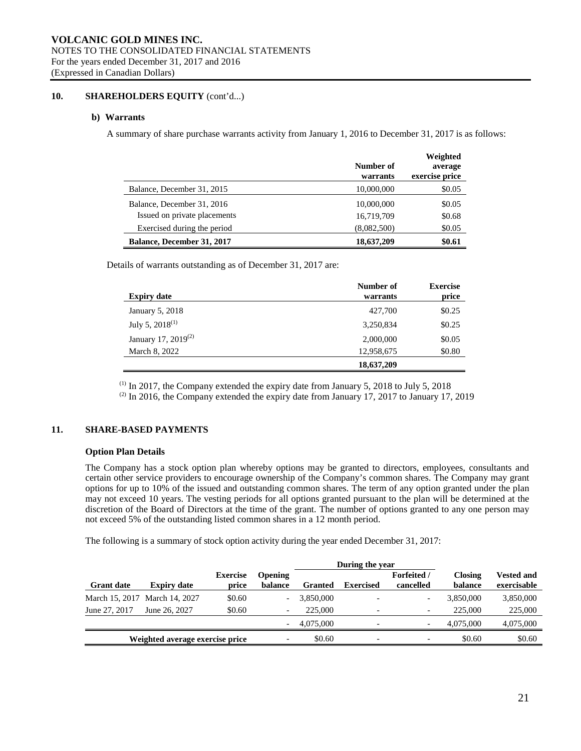### 10. **SHAREHOLDERS EQUITY** (cont'd...)

#### **b) Warrants**

A summary of share purchase warrants activity from January 1, 2016 to December 31, 2017 is as follows:

|                                                            | Number of<br>warrants    | Weighted<br>average<br>exercise price |
|------------------------------------------------------------|--------------------------|---------------------------------------|
| Balance, December 31, 2015                                 | 10,000,000               | \$0.05                                |
| Balance, December 31, 2016<br>Issued on private placements | 10,000,000<br>16,719,709 | \$0.05<br>\$0.68                      |
| Exercised during the period                                | (8,082,500)              | \$0.05                                |
| <b>Balance, December 31, 2017</b>                          | 18,637,209               | \$0.61                                |

Details of warrants outstanding as of December 31, 2017 are:

| <b>Expiry date</b>     | Number of<br>warrants | <b>Exercise</b><br>price |
|------------------------|-----------------------|--------------------------|
| January 5, 2018        | 427,700               | \$0.25                   |
| July 5, $2018^{(1)}$   | 3,250,834             | \$0.25                   |
| January 17, 2019 $(2)$ | 2,000,000             | \$0.05                   |
| March 8, 2022          | 12,958,675            | \$0.80                   |
|                        | 18,637,209            |                          |

 $(1)$  In 2017, the Company extended the expiry date from January 5, 2018 to July 5, 2018

 $^{(2)}$  In 2016, the Company extended the expiry date from January 17, 2017 to January 17, 2019

### **11. SHARE-BASED PAYMENTS**

#### **Option Plan Details**

The Company has a stock option plan whereby options may be granted to directors, employees, consultants and certain other service providers to encourage ownership of the Company's common shares. The Company may grant options for up to 10% of the issued and outstanding common shares. The term of any option granted under the plan may not exceed 10 years. The vesting periods for all options granted pursuant to the plan will be determined at the discretion of the Board of Directors at the time of the grant. The number of options granted to any one person may not exceed 5% of the outstanding listed common shares in a 12 month period.

The following is a summary of stock option activity during the year ended December 31, 2017:

|                   |                                 |                          | During the year           |                |                  |                                 |                           |                                  |
|-------------------|---------------------------------|--------------------------|---------------------------|----------------|------------------|---------------------------------|---------------------------|----------------------------------|
| <b>Grant date</b> | <b>Expiry date</b>              | <b>Exercise</b><br>price | <b>Opening</b><br>balance | <b>Granted</b> | <b>Exercised</b> | <b>Forfeited</b> /<br>cancelled | <b>Closing</b><br>balance | <b>Vested and</b><br>exercisable |
|                   | March 15, 2017 March 14, 2027   | \$0.60                   | $\overline{\phantom{0}}$  | 3,850,000      |                  |                                 | 3,850,000                 | 3,850,000                        |
| June 27, 2017     | June 26, 2027                   | \$0.60                   |                           | 225,000        |                  | $\overline{\phantom{a}}$        | 225,000                   | 225,000                          |
|                   |                                 |                          | $\overline{\phantom{0}}$  | 4.075.000      |                  | -                               | 4.075.000                 | 4,075,000                        |
|                   | Weighted average exercise price |                          | $\overline{\phantom{0}}$  | \$0.60         | -                | $\overline{\phantom{a}}$        | \$0.60                    | \$0.60                           |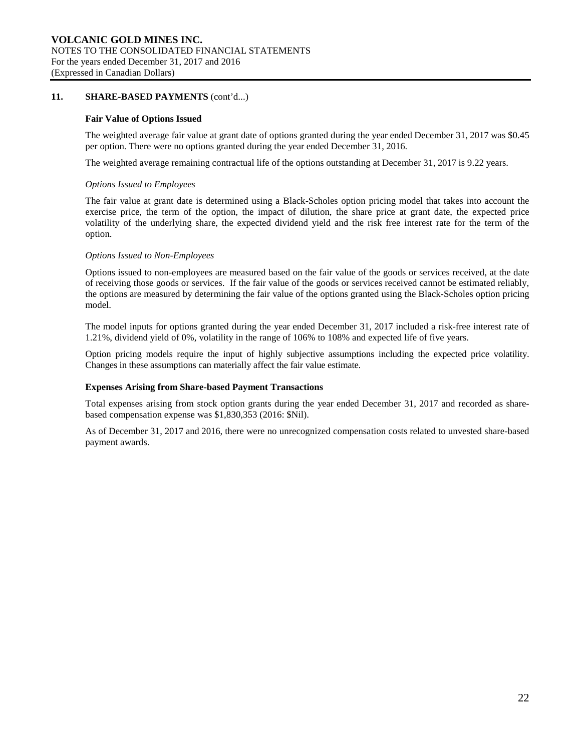### **11. SHARE-BASED PAYMENTS** (cont'd...)

#### **Fair Value of Options Issued**

The weighted average fair value at grant date of options granted during the year ended December 31, 2017 was \$0.45 per option. There were no options granted during the year ended December 31, 2016.

The weighted average remaining contractual life of the options outstanding at December 31, 2017 is 9.22 years.

#### *Options Issued to Employees*

The fair value at grant date is determined using a Black-Scholes option pricing model that takes into account the exercise price, the term of the option, the impact of dilution, the share price at grant date, the expected price volatility of the underlying share, the expected dividend yield and the risk free interest rate for the term of the option.

### *Options Issued to Non-Employees*

Options issued to non-employees are measured based on the fair value of the goods or services received, at the date of receiving those goods or services. If the fair value of the goods or services received cannot be estimated reliably, the options are measured by determining the fair value of the options granted using the Black-Scholes option pricing model.

The model inputs for options granted during the year ended December 31, 2017 included a risk-free interest rate of 1.21%, dividend yield of 0%, volatility in the range of 106% to 108% and expected life of five years.

Option pricing models require the input of highly subjective assumptions including the expected price volatility. Changes in these assumptions can materially affect the fair value estimate.

#### **Expenses Arising from Share-based Payment Transactions**

Total expenses arising from stock option grants during the year ended December 31, 2017 and recorded as sharebased compensation expense was \$1,830,353 (2016: \$Nil).

As of December 31, 2017 and 2016, there were no unrecognized compensation costs related to unvested share-based payment awards.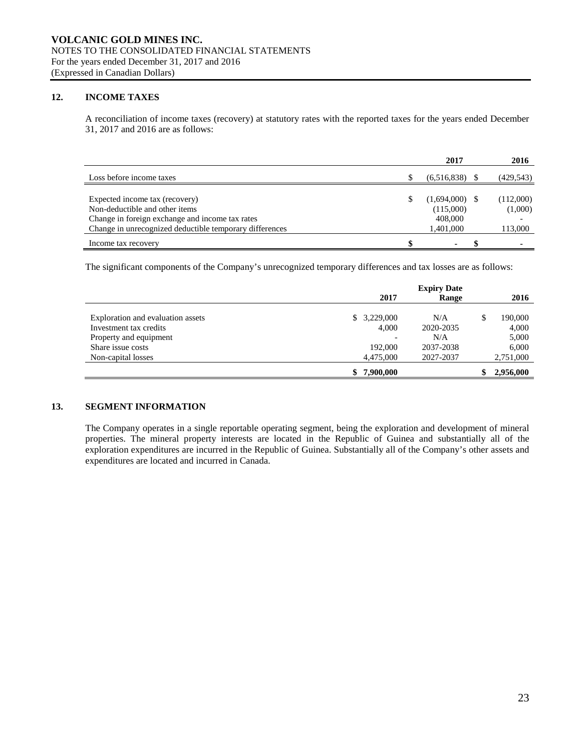# **12. INCOME TAXES**

A reconciliation of income taxes (recovery) at statutory rates with the reported taxes for the years ended December 31, 2017 and 2016 are as follows:

|                                                         | 2017             | 2016                     |
|---------------------------------------------------------|------------------|--------------------------|
| Loss before income taxes                                | (6,516,838)      | (429, 543)               |
|                                                         |                  |                          |
| Expected income tax (recovery)                          | $(1,694,000)$ \$ | (112,000)                |
| Non-deductible and other items                          | (115,000)        | (1,000)                  |
| Change in foreign exchange and income tax rates         | 408,000          | $\overline{\phantom{0}}$ |
| Change in unrecognized deductible temporary differences | 1,401,000        | 113,000                  |
| Income tax recovery                                     | \$               | $\blacksquare$           |

The significant components of the Company's unrecognized temporary differences and tax losses are as follows:

|                                   | 2017            | <b>Expiry Date</b><br>Range |     |           |
|-----------------------------------|-----------------|-----------------------------|-----|-----------|
| Exploration and evaluation assets | 3,229,000<br>S. | N/A                         | \$  | 190,000   |
| Investment tax credits            | 4.000           | 2020-2035                   |     | 4,000     |
| Property and equipment            |                 | N/A                         |     | 5,000     |
| Share issue costs                 | 192,000         | 2037-2038                   |     | 6,000     |
| Non-capital losses                | 4,475,000       | 2027-2037                   |     | 2,751,000 |
|                                   | 7,900,000       |                             | \$. | 2,956,000 |

# **13. SEGMENT INFORMATION**

The Company operates in a single reportable operating segment, being the exploration and development of mineral properties. The mineral property interests are located in the Republic of Guinea and substantially all of the exploration expenditures are incurred in the Republic of Guinea. Substantially all of the Company's other assets and expenditures are located and incurred in Canada.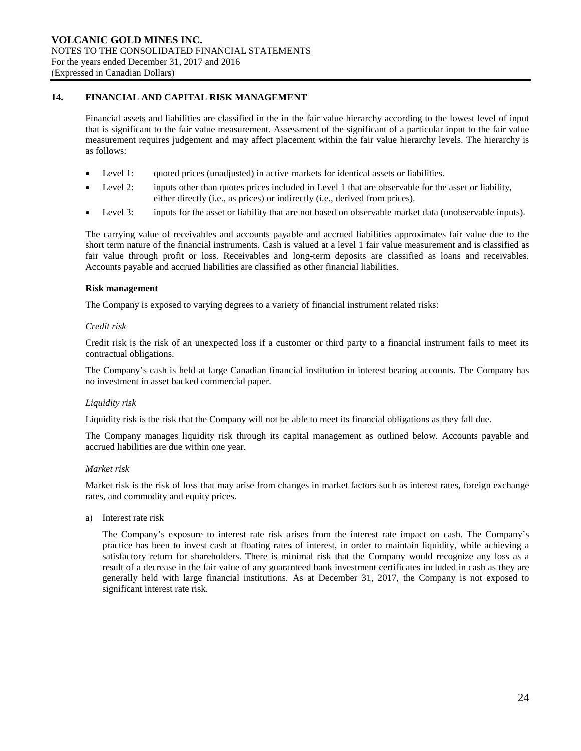### **14. FINANCIAL AND CAPITAL RISK MANAGEMENT**

Financial assets and liabilities are classified in the in the fair value hierarchy according to the lowest level of input that is significant to the fair value measurement. Assessment of the significant of a particular input to the fair value measurement requires judgement and may affect placement within the fair value hierarchy levels. The hierarchy is as follows:

- Level 1: quoted prices (unadjusted) in active markets for identical assets or liabilities.
- Level 2: inputs other than quotes prices included in Level 1 that are observable for the asset or liability, either directly (i.e., as prices) or indirectly (i.e., derived from prices).
- Level 3: inputs for the asset or liability that are not based on observable market data (unobservable inputs).

The carrying value of receivables and accounts payable and accrued liabilities approximates fair value due to the short term nature of the financial instruments. Cash is valued at a level 1 fair value measurement and is classified as fair value through profit or loss. Receivables and long-term deposits are classified as loans and receivables. Accounts payable and accrued liabilities are classified as other financial liabilities.

#### **Risk management**

The Company is exposed to varying degrees to a variety of financial instrument related risks:

#### *Credit risk*

Credit risk is the risk of an unexpected loss if a customer or third party to a financial instrument fails to meet its contractual obligations.

The Company's cash is held at large Canadian financial institution in interest bearing accounts. The Company has no investment in asset backed commercial paper.

#### *Liquidity risk*

Liquidity risk is the risk that the Company will not be able to meet its financial obligations as they fall due.

The Company manages liquidity risk through its capital management as outlined below. Accounts payable and accrued liabilities are due within one year.

#### *Market risk*

Market risk is the risk of loss that may arise from changes in market factors such as interest rates, foreign exchange rates, and commodity and equity prices.

a) Interest rate risk

The Company's exposure to interest rate risk arises from the interest rate impact on cash. The Company's practice has been to invest cash at floating rates of interest, in order to maintain liquidity, while achieving a satisfactory return for shareholders. There is minimal risk that the Company would recognize any loss as a result of a decrease in the fair value of any guaranteed bank investment certificates included in cash as they are generally held with large financial institutions. As at December 31, 2017, the Company is not exposed to significant interest rate risk.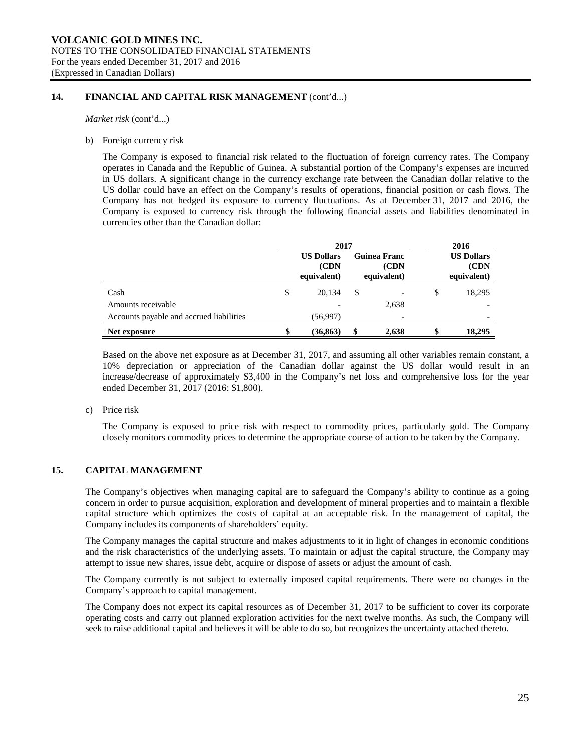### **14. FINANCIAL AND CAPITAL RISK MANAGEMENT** (cont'd...)

*Market risk* (cont'd...)

b) Foreign currency risk

The Company is exposed to financial risk related to the fluctuation of foreign currency rates. The Company operates in Canada and the Republic of Guinea. A substantial portion of the Company's expenses are incurred in US dollars. A significant change in the currency exchange rate between the Canadian dollar relative to the US dollar could have an effect on the Company's results of operations, financial position or cash flows. The Company has not hedged its exposure to currency fluctuations. As at December 31, 2017 and 2016, the Company is exposed to currency risk through the following financial assets and liabilities denominated in currencies other than the Canadian dollar:

|                                          | 2017 |                                           |                                             |                          | 2016                                      |  |  |
|------------------------------------------|------|-------------------------------------------|---------------------------------------------|--------------------------|-------------------------------------------|--|--|
|                                          |      | <b>US Dollars</b><br>(CDN)<br>equivalent) | <b>Guinea Franc</b><br>(CDN)<br>equivalent) |                          | <b>US Dollars</b><br>(CDN)<br>equivalent) |  |  |
| Cash                                     | \$   | 20,134                                    | S                                           |                          | \$<br>18,295                              |  |  |
| Amounts receivable                       |      |                                           |                                             | 2,638                    |                                           |  |  |
| Accounts payable and accrued liabilities |      | (56,997)                                  |                                             | $\overline{\phantom{0}}$ |                                           |  |  |
| Net exposure                             |      | (36, 863)                                 | \$                                          | 2,638                    | \$<br>18.295                              |  |  |

Based on the above net exposure as at December 31, 2017, and assuming all other variables remain constant, a 10% depreciation or appreciation of the Canadian dollar against the US dollar would result in an increase/decrease of approximately \$3,400 in the Company's net loss and comprehensive loss for the year ended December 31, 2017 (2016: \$1,800).

c) Price risk

The Company is exposed to price risk with respect to commodity prices, particularly gold. The Company closely monitors commodity prices to determine the appropriate course of action to be taken by the Company.

# **15. CAPITAL MANAGEMENT**

The Company's objectives when managing capital are to safeguard the Company's ability to continue as a going concern in order to pursue acquisition, exploration and development of mineral properties and to maintain a flexible capital structure which optimizes the costs of capital at an acceptable risk. In the management of capital, the Company includes its components of shareholders' equity.

The Company manages the capital structure and makes adjustments to it in light of changes in economic conditions and the risk characteristics of the underlying assets. To maintain or adjust the capital structure, the Company may attempt to issue new shares, issue debt, acquire or dispose of assets or adjust the amount of cash.

The Company currently is not subject to externally imposed capital requirements. There were no changes in the Company's approach to capital management.

The Company does not expect its capital resources as of December 31, 2017 to be sufficient to cover its corporate operating costs and carry out planned exploration activities for the next twelve months. As such, the Company will seek to raise additional capital and believes it will be able to do so, but recognizes the uncertainty attached thereto.